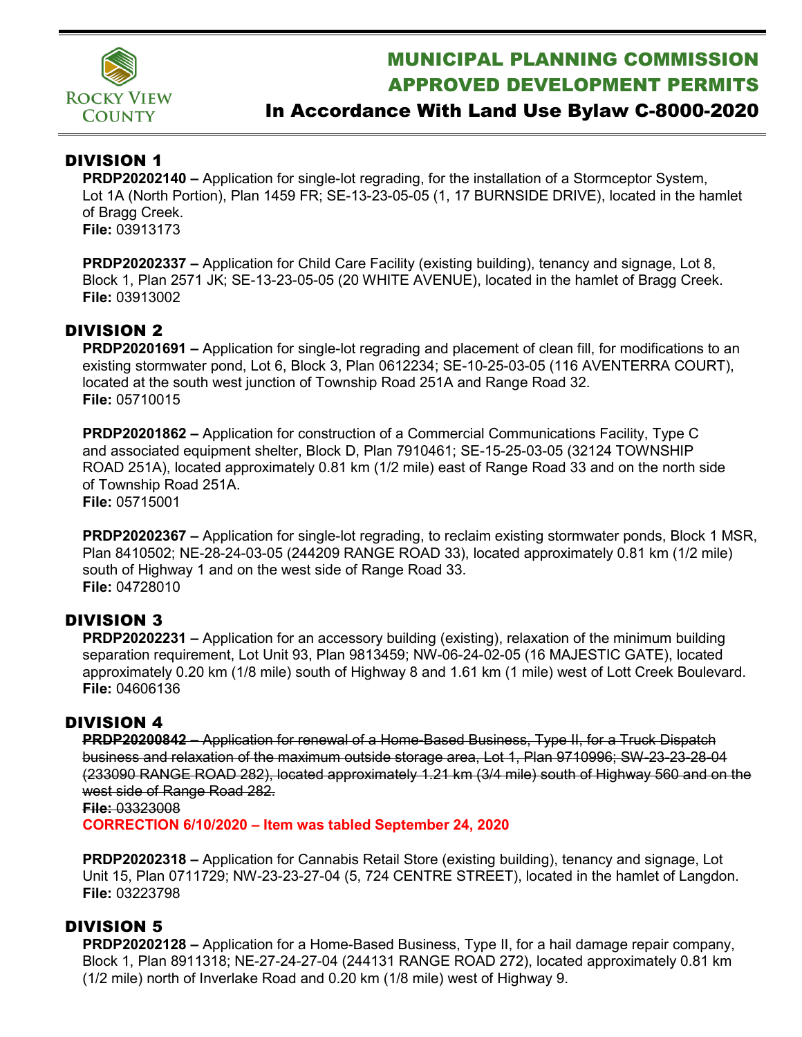

# MUNICIPAL PLANNING COMMISSION APPROVED DEVELOPMENT PERMITS

## In Accordance With Land Use Bylaw C-8000-2020

### DIVISION 1

**PRDP20202140 –** Application for single-lot regrading, for the installation of a Stormceptor System, Lot 1A (North Portion), Plan 1459 FR; SE-13-23-05-05 (1, 17 BURNSIDE DRIVE), located in the hamlet of Bragg Creek. **File:** 03913173

**PRDP20202337 –** Application for Child Care Facility (existing building), tenancy and signage, Lot 8, Block 1, Plan 2571 JK; SE-13-23-05-05 (20 WHITE AVENUE), located in the hamlet of Bragg Creek. **File:** 03913002

### DIVISION 2

**PRDP20201691 –** Application for single-lot regrading and placement of clean fill, for modifications to an existing stormwater pond, Lot 6, Block 3, Plan 0612234; SE-10-25-03-05 (116 AVENTERRA COURT), located at the south west junction of Township Road 251A and Range Road 32. **File:** 05710015

**PRDP20201862 –** Application for construction of a Commercial Communications Facility, Type C and associated equipment shelter, Block D, Plan 7910461; SE-15-25-03-05 (32124 TOWNSHIP ROAD 251A), located approximately 0.81 km (1/2 mile) east of Range Road 33 and on the north side of Township Road 251A. **File:** 05715001

**PRDP20202367 –** Application for single-lot regrading, to reclaim existing stormwater ponds, Block 1 MSR, Plan 8410502; NE-28-24-03-05 (244209 RANGE ROAD 33), located approximately 0.81 km (1/2 mile) south of Highway 1 and on the west side of Range Road 33. **File:** 04728010

### DIVISION 3

**PRDP20202231 –** Application for an accessory building (existing), relaxation of the minimum building separation requirement, Lot Unit 93, Plan 9813459; NW-06-24-02-05 (16 MAJESTIC GATE), located approximately 0.20 km (1/8 mile) south of Highway 8 and 1.61 km (1 mile) west of Lott Creek Boulevard. **File:** 04606136

### DIVISION 4

**PRDP20200842 –** Application for renewal of a Home-Based Business, Type II, for a Truck Dispatch business and relaxation of the maximum outside storage area, Lot 1, Plan 9710996; SW-23-23-28-04 (233090 RANGE ROAD 282), located approximately 1.21 km (3/4 mile) south of Highway 560 and on the west side of Range Road 282.

#### **File:** 03323008

**CORRECTION 6/10/2020 – Item was tabled September 24, 2020**

**PRDP20202318 –** Application for Cannabis Retail Store (existing building), tenancy and signage, Lot Unit 15, Plan 0711729; NW-23-23-27-04 (5, 724 CENTRE STREET), located in the hamlet of Langdon. **File:** 03223798

### DIVISION 5

**PRDP20202128 –** Application for a Home-Based Business, Type II, for a hail damage repair company, Block 1, Plan 8911318; NE-27-24-27-04 (244131 RANGE ROAD 272), located approximately 0.81 km (1/2 mile) north of Inverlake Road and 0.20 km (1/8 mile) west of Highway 9.